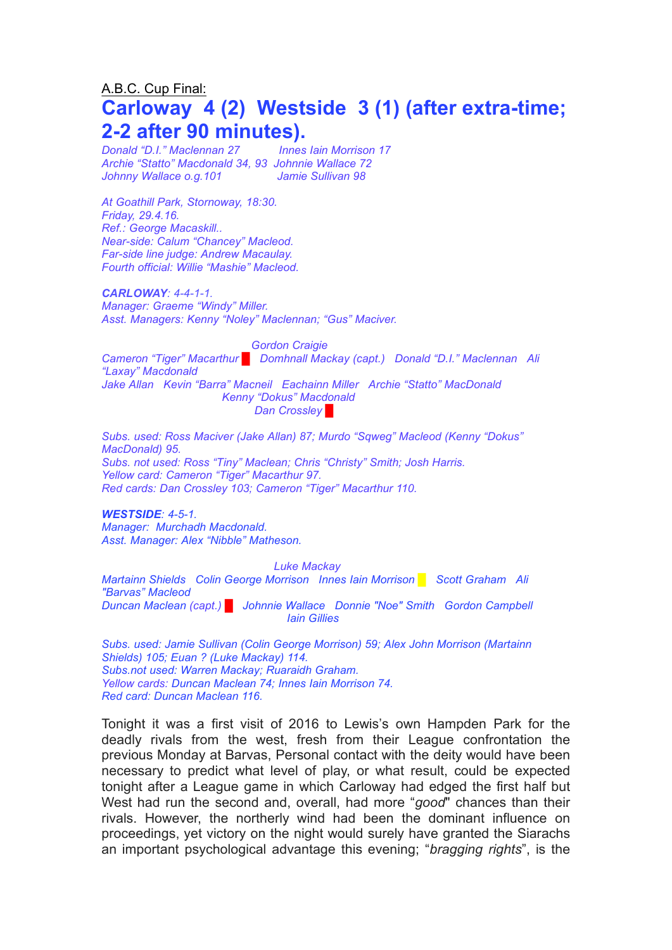# A.B.C. Cup Final: **Carloway 4 (2) Westside 3 (1) (after extra-time; 2-2 after 90 minutes).**

*Donald "D.I." Maclennan 27 Innes Iain Morrison 17 Archie "Statto" Macdonald 34, 93 Johnnie Wallace 72 Johnny Wallace o.g.101 Jamie Sullivan 98*

*At Goathill Park, Stornoway, 18:30. Friday, 29.4.16. Ref.: George Macaskill.. Near-side: Calum "Chancey" Macleod. Far-side line judge: Andrew Macaulay. Fourth official: Willie "Mashie" Macleod.*

#### *CARLOWAY: 4-4-1-1.*

*Manager: Graeme "Windy" Miller. Asst. Managers: Kenny "Noley" Maclennan; "Gus" Maciver.*

*Gordon Craigie Cameron "Tiger" Macarthur █ Domhnall Mackay (capt.) Donald "D.I." Maclennan Ali "Laxay" Macdonald Jake Allan Kevin "Barra" Macneil Eachainn Miller Archie "Statto" MacDonald Kenny "Dokus" Macdonald Dan Crossley* 

*Subs. used: Ross Maciver (Jake Allan) 87; Murdo "Sqweg" Macleod (Kenny "Dokus" MacDonald) 95. Subs. not used: Ross "Tiny" Maclean; Chris "Christy" Smith; Josh Harris. Yellow card: Cameron "Tiger" Macarthur 97. Red cards: Dan Crossley 103; Cameron "Tiger" Macarthur 110.* 

#### *WESTSIDE: 4-5-1.*

*Manager: Murchadh Macdonald. Asst. Manager: Alex "Nibble" Matheson.*

*Luke Mackay*

*Martainn Shields Colin George Morrison Innes Iain Morrison █ Scott Graham Ali "Barvas" Macleod Duncan Maclean (capt.) █ Johnnie Wallace Donnie "Noe" Smith Gordon Campbell Iain Gillies*

*Subs. used: Jamie Sullivan (Colin George Morrison) 59; Alex John Morrison (Martainn Shields) 105; Euan ? (Luke Mackay) 114. Subs.not used: Warren Mackay; Ruaraidh Graham. Yellow cards: Duncan Maclean 74; Innes Iain Morrison 74. Red card: Duncan Maclean 116.*

Tonight it was a first visit of 2016 to Lewis's own Hampden Park for the deadly rivals from the west, fresh from their League confrontation the previous Monday at Barvas, Personal contact with the deity would have been necessary to predict what level of play, or what result, could be expected tonight after a League game in which Carloway had edged the first half but West had run the second and, overall, had more "*good*" chances than their rivals. However, the northerly wind had been the dominant influence on proceedings, yet victory on the night would surely have granted the Siarachs an important psychological advantage this evening; "*bragging rights*", is the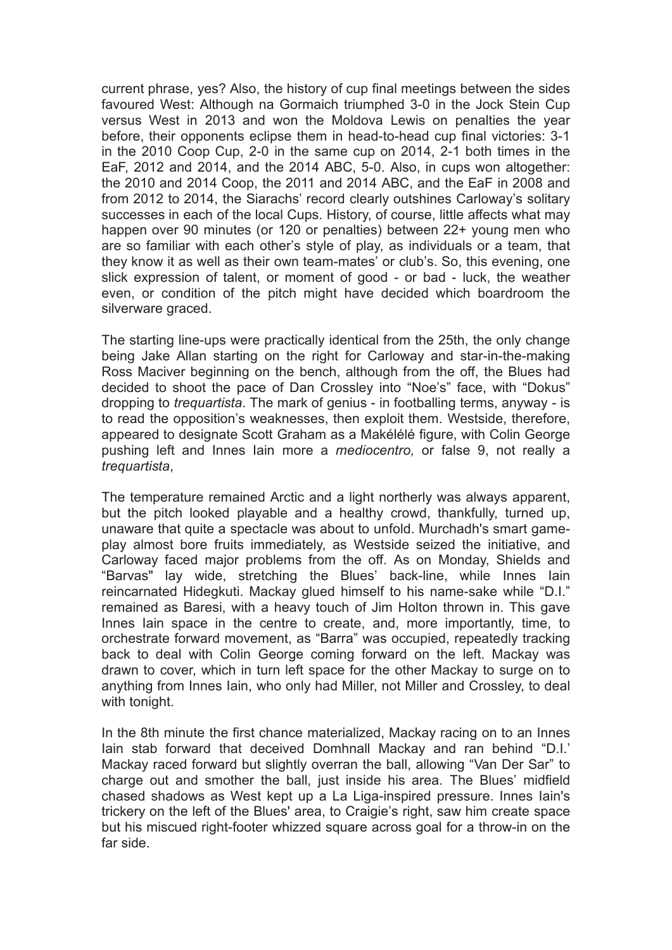current phrase, yes? Also, the history of cup final meetings between the sides favoured West: Although na Gormaich triumphed 3-0 in the Jock Stein Cup versus West in 2013 and won the Moldova Lewis on penalties the year before, their opponents eclipse them in head-to-head cup final victories: 3-1 in the 2010 Coop Cup, 2-0 in the same cup on 2014, 2-1 both times in the EaF, 2012 and 2014, and the 2014 ABC, 5-0. Also, in cups won altogether: the 2010 and 2014 Coop, the 2011 and 2014 ABC, and the EaF in 2008 and from 2012 to 2014, the Siarachs' record clearly outshines Carloway's solitary successes in each of the local Cups. History, of course, little affects what may happen over 90 minutes (or 120 or penalties) between 22+ young men who are so familiar with each other's style of play, as individuals or a team, that they know it as well as their own team-mates' or club's. So, this evening, one slick expression of talent, or moment of good - or bad - luck, the weather even, or condition of the pitch might have decided which boardroom the silverware graced.

The starting line-ups were practically identical from the 25th, the only change being Jake Allan starting on the right for Carloway and star-in-the-making Ross Maciver beginning on the bench, although from the off, the Blues had decided to shoot the pace of Dan Crossley into "Noe's" face, with "Dokus" dropping to *trequartista*. The mark of genius - in footballing terms, anyway - is to read the opposition's weaknesses, then exploit them. Westside, therefore, appeared to designate Scott Graham as a Makélélé figure, with Colin George pushing left and Innes Iain more a *mediocentro,* or false 9, not really a *trequartista*,

The temperature remained Arctic and a light northerly was always apparent, but the pitch looked playable and a healthy crowd, thankfully, turned up, unaware that quite a spectacle was about to unfold. Murchadh's smart gameplay almost bore fruits immediately, as Westside seized the initiative, and Carloway faced major problems from the off. As on Monday, Shields and "Barvas" lay wide, stretching the Blues' back-line, while Innes Iain reincarnated Hidegkuti. Mackay glued himself to his name-sake while "D.I." remained as Baresi, with a heavy touch of Jim Holton thrown in. This gave Innes Iain space in the centre to create, and, more importantly, time, to orchestrate forward movement, as "Barra" was occupied, repeatedly tracking back to deal with Colin George coming forward on the left. Mackay was drawn to cover, which in turn left space for the other Mackay to surge on to anything from Innes Iain, who only had Miller, not Miller and Crossley, to deal with tonight.

In the 8th minute the first chance materialized, Mackay racing on to an Innes Iain stab forward that deceived Domhnall Mackay and ran behind "D.I.' Mackay raced forward but slightly overran the ball, allowing "Van Der Sar" to charge out and smother the ball, just inside his area. The Blues' midfield chased shadows as West kept up a La Liga-inspired pressure. Innes Iain's trickery on the left of the Blues' area, to Craigie's right, saw him create space but his miscued right-footer whizzed square across goal for a throw-in on the far side.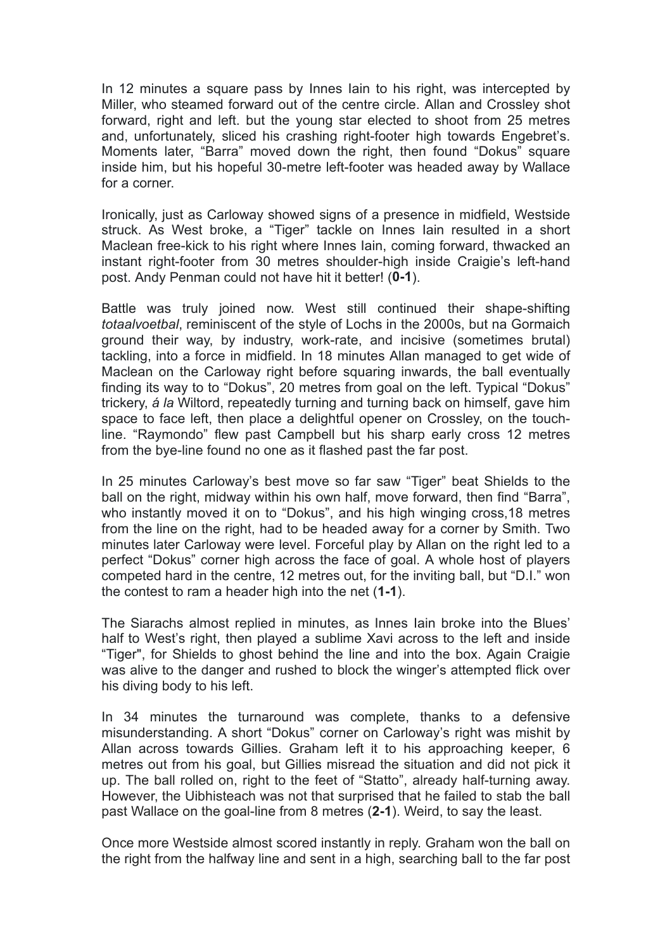In 12 minutes a square pass by Innes Iain to his right, was intercepted by Miller, who steamed forward out of the centre circle. Allan and Crossley shot forward, right and left. but the young star elected to shoot from 25 metres and, unfortunately, sliced his crashing right-footer high towards Engebret's. Moments later, "Barra" moved down the right, then found "Dokus" square inside him, but his hopeful 30-metre left-footer was headed away by Wallace for a corner.

Ironically, just as Carloway showed signs of a presence in midfield, Westside struck. As West broke, a "Tiger" tackle on Innes Iain resulted in a short Maclean free-kick to his right where Innes Iain, coming forward, thwacked an instant right-footer from 30 metres shoulder-high inside Craigie's left-hand post. Andy Penman could not have hit it better! (**0-1**).

Battle was truly joined now. West still continued their shape-shifting *totaalvoetbal*, reminiscent of the style of Lochs in the 2000s, but na Gormaich ground their way, by industry, work-rate, and incisive (sometimes brutal) tackling, into a force in midfield. In 18 minutes Allan managed to get wide of Maclean on the Carloway right before squaring inwards, the ball eventually finding its way to to "Dokus", 20 metres from goal on the left. Typical "Dokus" trickery, *á la* Wiltord, repeatedly turning and turning back on himself, gave him space to face left, then place a delightful opener on Crossley, on the touchline. "Raymondo" flew past Campbell but his sharp early cross 12 metres from the bye-line found no one as it flashed past the far post.

In 25 minutes Carloway's best move so far saw "Tiger" beat Shields to the ball on the right, midway within his own half, move forward, then find "Barra", who instantly moved it on to "Dokus", and his high winging cross,18 metres from the line on the right, had to be headed away for a corner by Smith. Two minutes later Carloway were level. Forceful play by Allan on the right led to a perfect "Dokus" corner high across the face of goal. A whole host of players competed hard in the centre, 12 metres out, for the inviting ball, but "D.I." won the contest to ram a header high into the net (**1-1**).

The Siarachs almost replied in minutes, as Innes Iain broke into the Blues' half to West's right, then played a sublime Xavi across to the left and inside "Tiger", for Shields to ghost behind the line and into the box. Again Craigie was alive to the danger and rushed to block the winger's attempted flick over his diving body to his left.

In 34 minutes the turnaround was complete, thanks to a defensive misunderstanding. A short "Dokus" corner on Carloway's right was mishit by Allan across towards Gillies. Graham left it to his approaching keeper, 6 metres out from his goal, but Gillies misread the situation and did not pick it up. The ball rolled on, right to the feet of "Statto", already half-turning away. However, the Uibhisteach was not that surprised that he failed to stab the ball past Wallace on the goal-line from 8 metres (**2-1**). Weird, to say the least.

Once more Westside almost scored instantly in reply. Graham won the ball on the right from the halfway line and sent in a high, searching ball to the far post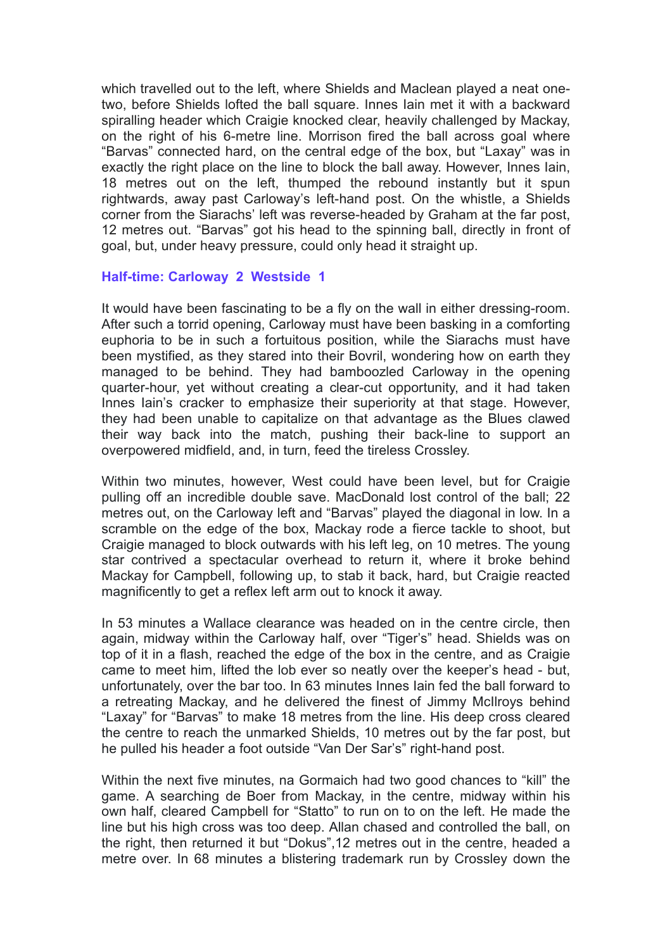which travelled out to the left, where Shields and Maclean played a neat onetwo, before Shields lofted the ball square. Innes Iain met it with a backward spiralling header which Craigie knocked clear, heavily challenged by Mackay, on the right of his 6-metre line. Morrison fired the ball across goal where "Barvas" connected hard, on the central edge of the box, but "Laxay" was in exactly the right place on the line to block the ball away. However, Innes Iain, 18 metres out on the left, thumped the rebound instantly but it spun rightwards, away past Carloway's left-hand post. On the whistle, a Shields corner from the Siarachs' left was reverse-headed by Graham at the far post, 12 metres out. "Barvas" got his head to the spinning ball, directly in front of goal, but, under heavy pressure, could only head it straight up.

## **Half-time: Carloway 2 Westside 1**

It would have been fascinating to be a fly on the wall in either dressing-room. After such a torrid opening, Carloway must have been basking in a comforting euphoria to be in such a fortuitous position, while the Siarachs must have been mystified, as they stared into their Bovril, wondering how on earth they managed to be behind. They had bamboozled Carloway in the opening quarter-hour, yet without creating a clear-cut opportunity, and it had taken Innes Iain's cracker to emphasize their superiority at that stage. However, they had been unable to capitalize on that advantage as the Blues clawed their way back into the match, pushing their back-line to support an overpowered midfield, and, in turn, feed the tireless Crossley.

Within two minutes, however, West could have been level, but for Craigie pulling off an incredible double save. MacDonald lost control of the ball; 22 metres out, on the Carloway left and "Barvas" played the diagonal in low. In a scramble on the edge of the box, Mackay rode a fierce tackle to shoot, but Craigie managed to block outwards with his left leg, on 10 metres. The young star contrived a spectacular overhead to return it, where it broke behind Mackay for Campbell, following up, to stab it back, hard, but Craigie reacted magnificently to get a reflex left arm out to knock it away.

In 53 minutes a Wallace clearance was headed on in the centre circle, then again, midway within the Carloway half, over "Tiger's" head. Shields was on top of it in a flash, reached the edge of the box in the centre, and as Craigie came to meet him, lifted the lob ever so neatly over the keeper's head - but, unfortunately, over the bar too. In 63 minutes Innes Iain fed the ball forward to a retreating Mackay, and he delivered the finest of Jimmy McIlroys behind "Laxay" for "Barvas" to make 18 metres from the line. His deep cross cleared the centre to reach the unmarked Shields, 10 metres out by the far post, but he pulled his header a foot outside "Van Der Sar's" right-hand post.

Within the next five minutes, na Gormaich had two good chances to "kill" the game. A searching de Boer from Mackay, in the centre, midway within his own half, cleared Campbell for "Statto" to run on to on the left. He made the line but his high cross was too deep. Allan chased and controlled the ball, on the right, then returned it but "Dokus",12 metres out in the centre, headed a metre over. In 68 minutes a blistering trademark run by Crossley down the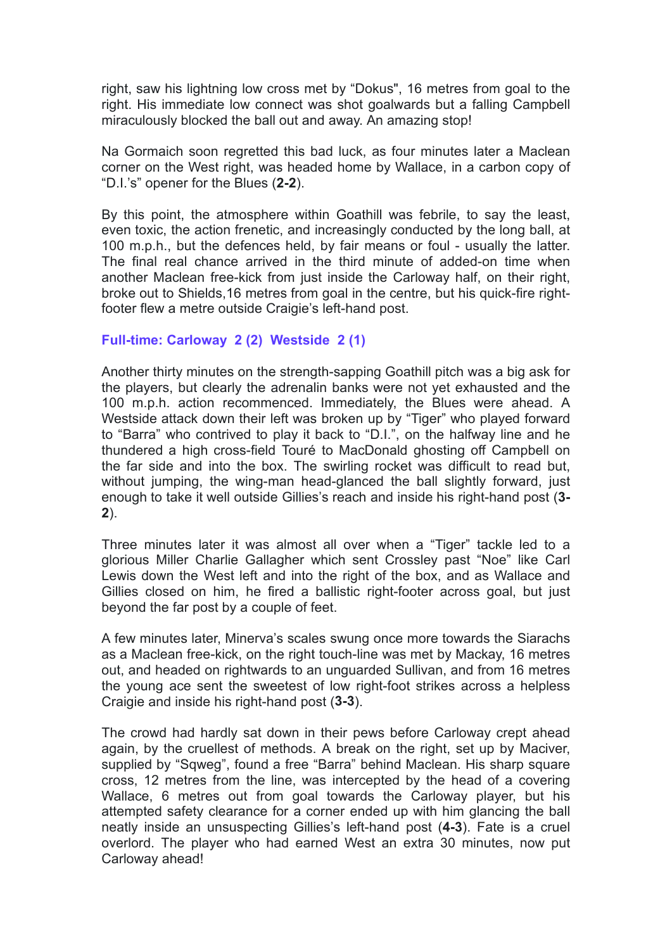right, saw his lightning low cross met by "Dokus", 16 metres from goal to the right. His immediate low connect was shot goalwards but a falling Campbell miraculously blocked the ball out and away. An amazing stop!

Na Gormaich soon regretted this bad luck, as four minutes later a Maclean corner on the West right, was headed home by Wallace, in a carbon copy of "D.I.'s" opener for the Blues (**2-2**).

By this point, the atmosphere within Goathill was febrile, to say the least, even toxic, the action frenetic, and increasingly conducted by the long ball, at 100 m.p.h., but the defences held, by fair means or foul - usually the latter. The final real chance arrived in the third minute of added-on time when another Maclean free-kick from just inside the Carloway half, on their right, broke out to Shields,16 metres from goal in the centre, but his quick-fire rightfooter flew a metre outside Craigie's left-hand post.

# **Full-time: Carloway 2 (2) Westside 2 (1)**

Another thirty minutes on the strength-sapping Goathill pitch was a big ask for the players, but clearly the adrenalin banks were not yet exhausted and the 100 m.p.h. action recommenced. Immediately, the Blues were ahead. A Westside attack down their left was broken up by "Tiger" who played forward to "Barra" who contrived to play it back to "D.I.", on the halfway line and he thundered a high cross-field Touré to MacDonald ghosting off Campbell on the far side and into the box. The swirling rocket was difficult to read but, without jumping, the wing-man head-glanced the ball slightly forward, just enough to take it well outside Gillies's reach and inside his right-hand post (**3- 2**).

Three minutes later it was almost all over when a "Tiger" tackle led to a glorious Miller Charlie Gallagher which sent Crossley past "Noe" like Carl Lewis down the West left and into the right of the box, and as Wallace and Gillies closed on him, he fired a ballistic right-footer across goal, but just beyond the far post by a couple of feet.

A few minutes later, Minerva's scales swung once more towards the Siarachs as a Maclean free-kick, on the right touch-line was met by Mackay, 16 metres out, and headed on rightwards to an unguarded Sullivan, and from 16 metres the young ace sent the sweetest of low right-foot strikes across a helpless Craigie and inside his right-hand post (**3-3**).

The crowd had hardly sat down in their pews before Carloway crept ahead again, by the cruellest of methods. A break on the right, set up by Maciver, supplied by "Sqweg", found a free "Barra" behind Maclean. His sharp square cross, 12 metres from the line, was intercepted by the head of a covering Wallace, 6 metres out from goal towards the Carloway player, but his attempted safety clearance for a corner ended up with him glancing the ball neatly inside an unsuspecting Gillies's left-hand post (**4-3**). Fate is a cruel overlord. The player who had earned West an extra 30 minutes, now put Carloway ahead!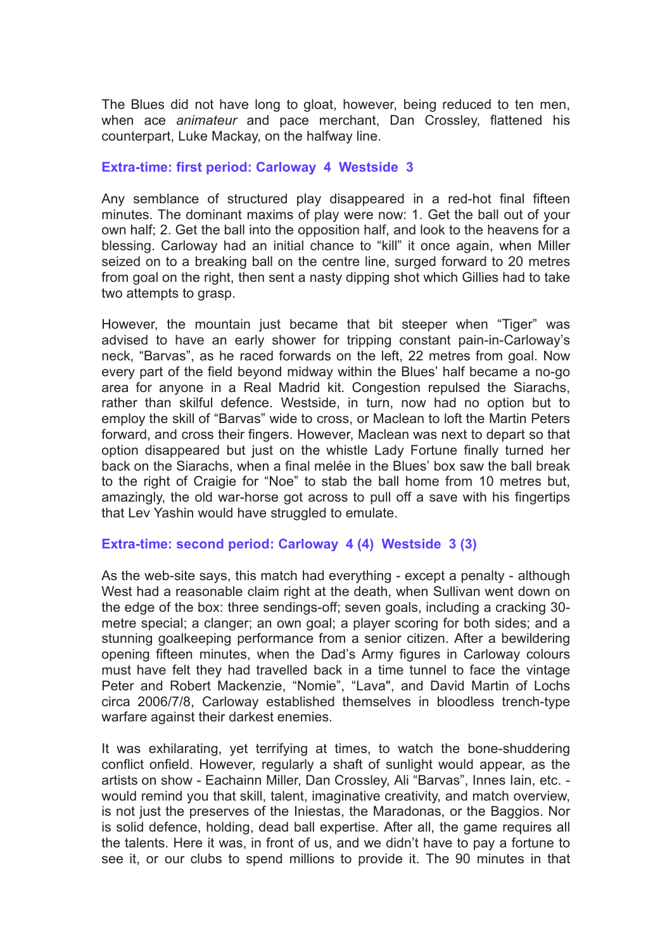The Blues did not have long to gloat, however, being reduced to ten men, when ace *animateur* and pace merchant, Dan Crossley, flattened his counterpart, Luke Mackay, on the halfway line.

## **Extra-time: first period: Carloway 4 Westside 3**

Any semblance of structured play disappeared in a red-hot final fifteen minutes. The dominant maxims of play were now: 1. Get the ball out of your own half; 2. Get the ball into the opposition half, and look to the heavens for a blessing. Carloway had an initial chance to "kill" it once again, when Miller seized on to a breaking ball on the centre line, surged forward to 20 metres from goal on the right, then sent a nasty dipping shot which Gillies had to take two attempts to grasp.

However, the mountain just became that bit steeper when "Tiger" was advised to have an early shower for tripping constant pain-in-Carloway's neck, "Barvas", as he raced forwards on the left, 22 metres from goal. Now every part of the field beyond midway within the Blues' half became a no-go area for anyone in a Real Madrid kit. Congestion repulsed the Siarachs, rather than skilful defence. Westside, in turn, now had no option but to employ the skill of "Barvas" wide to cross, or Maclean to loft the Martin Peters forward, and cross their fingers. However, Maclean was next to depart so that option disappeared but just on the whistle Lady Fortune finally turned her back on the Siarachs, when a final melée in the Blues' box saw the ball break to the right of Craigie for "Noe" to stab the ball home from 10 metres but, amazingly, the old war-horse got across to pull off a save with his fingertips that Lev Yashin would have struggled to emulate.

#### **Extra-time: second period: Carloway 4 (4) Westside 3 (3)**

As the web-site says, this match had everything - except a penalty - although West had a reasonable claim right at the death, when Sullivan went down on the edge of the box: three sendings-off; seven goals, including a cracking 30 metre special; a clanger; an own goal; a player scoring for both sides; and a stunning goalkeeping performance from a senior citizen. After a bewildering opening fifteen minutes, when the Dad's Army figures in Carloway colours must have felt they had travelled back in a time tunnel to face the vintage Peter and Robert Mackenzie, "Nomie", "Lava", and David Martin of Lochs circa 2006/7/8, Carloway established themselves in bloodless trench-type warfare against their darkest enemies.

It was exhilarating, yet terrifying at times, to watch the bone-shuddering conflict onfield. However, regularly a shaft of sunlight would appear, as the artists on show - Eachainn Miller, Dan Crossley, Ali "Barvas", Innes Iain, etc. would remind you that skill, talent, imaginative creativity, and match overview, is not just the preserves of the Iniestas, the Maradonas, or the Baggios. Nor is solid defence, holding, dead ball expertise. After all, the game requires all the talents. Here it was, in front of us, and we didn't have to pay a fortune to see it, or our clubs to spend millions to provide it. The 90 minutes in that